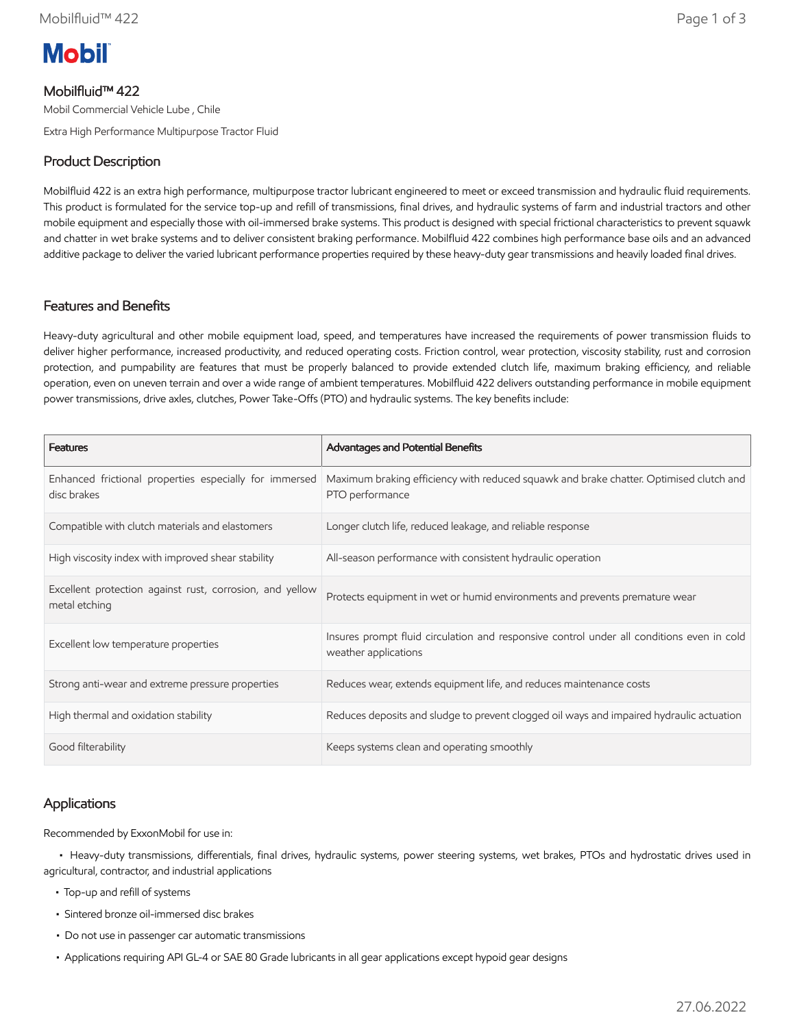# **Mobil**

# Mobilfluid™ 422

Mobil Commercial Vehicle Lube , Chile

Extra High Performance Multipurpose Tractor Fluid

# Product Description

Mobilfluid 422 is an extra high performance, multipurpose tractor lubricant engineered to meet or exceed transmission and hydraulic fluid requirements. This product is formulated for the service top-up and refill of transmissions, final drives, and hydraulic systems of farm and industrial tractors and other mobile equipment and especially those with oil-immersed brake systems. This product is designed with special frictional characteristics to prevent squawk and chatter in wet brake systems and to deliver consistent braking performance. Mobilfluid 422 combines high performance base oils and an advanced additive package to deliver the varied lubricant performance properties required by these heavy-duty gear transmissions and heavily loaded final drives.

#### Features and Benefits

Heavy-duty agricultural and other mobile equipment load, speed, and temperatures have increased the requirements of power transmission fluids to deliver higher performance, increased productivity, and reduced operating costs. Friction control, wear protection, viscosity stability, rust and corrosion protection, and pumpability are features that must be properly balanced to provide extended clutch life, maximum braking efficiency, and reliable operation, even on uneven terrain and over a wide range of ambient temperatures. Mobilfluid 422 delivers outstanding performance in mobile equipment power transmissions, drive axles, clutches, Power Take-Offs (PTO) and hydraulic systems. The key benefits include:

| <b>Features</b>                                                           | <b>Advantages and Potential Benefits</b>                                                                          |
|---------------------------------------------------------------------------|-------------------------------------------------------------------------------------------------------------------|
| Enhanced frictional properties especially for immersed<br>disc brakes     | Maximum braking efficiency with reduced squawk and brake chatter. Optimised clutch and<br>PTO performance         |
| Compatible with clutch materials and elastomers                           | Longer clutch life, reduced leakage, and reliable response                                                        |
| High viscosity index with improved shear stability                        | All-season performance with consistent hydraulic operation                                                        |
| Excellent protection against rust, corrosion, and yellow<br>metal etching | Protects equipment in wet or humid environments and prevents premature wear                                       |
| Excellent low temperature properties                                      | Insures prompt fluid circulation and responsive control under all conditions even in cold<br>weather applications |
| Strong anti-wear and extreme pressure properties                          | Reduces wear, extends equipment life, and reduces maintenance costs                                               |
| High thermal and oxidation stability                                      | Reduces deposits and sludge to prevent clogged oil ways and impaired hydraulic actuation                          |
| Good filterability                                                        | Keeps systems clean and operating smoothly                                                                        |

## Applications

Recommended by ExxonMobil for use in:

 • Heavy-duty transmissions, differentials, final drives, hydraulic systems, power steering systems, wet brakes, PTOs and hydrostatic drives used in agricultural, contractor, and industrial applications

- Top-up and refill of systems
- Sintered bronze oil-immersed disc brakes
- Do not use in passenger car automatic transmissions
- Applications requiring API GL-4 or SAE 80 Grade lubricants in all gear applications except hypoid gear designs